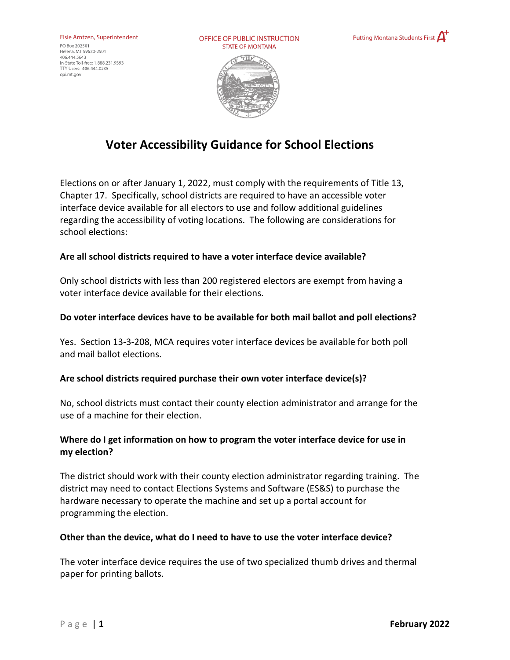Elsie Arntzen, Superintendent PO Box 202501 Helena, MT 59620-2501 406.444.5643 In-State Toll-free: 1,888,231,9393

TTY Users: 406.444.0235 opi.mt.gov

OFFICE OF PUBLIC INSTRUCTION **STATE OF MONTANA** 





# **Voter Accessibility Guidance for School Elections**

Elections on or after January 1, 2022, must comply with the requirements of Title 13, Chapter 17. Specifically, school districts are required to have an accessible voter interface device available for all electors to use and follow additional guidelines regarding the accessibility of voting locations. The following are considerations for school elections:

## **Are all school districts required to have a voter interface device available?**

Only school districts with less than 200 registered electors are exempt from having a voter interface device available for their elections.

## **Do voter interface devices have to be available for both mail ballot and poll elections?**

Yes. Section 13-3-208, MCA requires voter interface devices be available for both poll and mail ballot elections.

## **Are school districts required purchase their own voter interface device(s)?**

No, school districts must contact their county election administrator and arrange for the use of a machine for their election.

# **Where do I get information on how to program the voter interface device for use in my election?**

The district should work with their county election administrator regarding training. The district may need to contact Elections Systems and Software (ES&S) to purchase the hardware necessary to operate the machine and set up a portal account for programming the election.

## **Other than the device, what do I need to have to use the voter interface device?**

The voter interface device requires the use of two specialized thumb drives and thermal paper for printing ballots.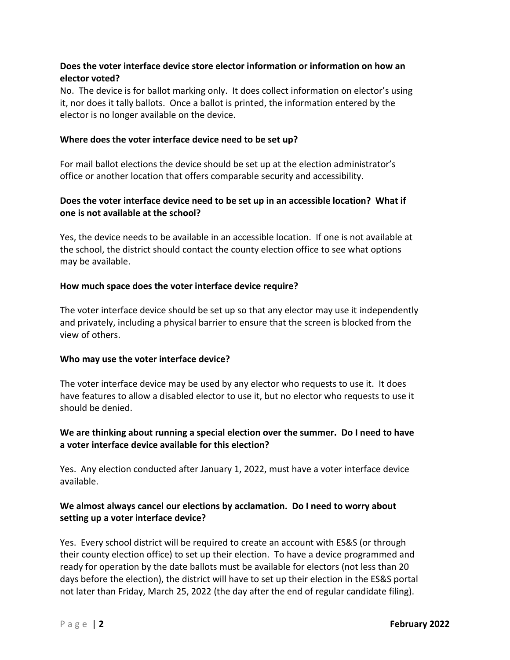# **Does the voter interface device store elector information or information on how an elector voted?**

No. The device is for ballot marking only. It does collect information on elector's using it, nor does it tally ballots. Once a ballot is printed, the information entered by the elector is no longer available on the device.

## **Where does the voter interface device need to be set up?**

For mail ballot elections the device should be set up at the election administrator's office or another location that offers comparable security and accessibility.

# **Does the voter interface device need to be set up in an accessible location? What if one is not available at the school?**

Yes, the device needs to be available in an accessible location. If one is not available at the school, the district should contact the county election office to see what options may be available.

## **How much space does the voter interface device require?**

The voter interface device should be set up so that any elector may use it independently and privately, including a physical barrier to ensure that the screen is blocked from the view of others.

## **Who may use the voter interface device?**

The voter interface device may be used by any elector who requests to use it. It does have features to allow a disabled elector to use it, but no elector who requests to use it should be denied.

# **We are thinking about running a special election over the summer. Do I need to have a voter interface device available for this election?**

Yes. Any election conducted after January 1, 2022, must have a voter interface device available.

# **We almost always cancel our elections by acclamation. Do I need to worry about setting up a voter interface device?**

Yes. Every school district will be required to create an account with ES&S (or through their county election office) to set up their election. To have a device programmed and ready for operation by the date ballots must be available for electors (not less than 20 days before the election), the district will have to set up their election in the ES&S portal not later than Friday, March 25, 2022 (the day after the end of regular candidate filing).